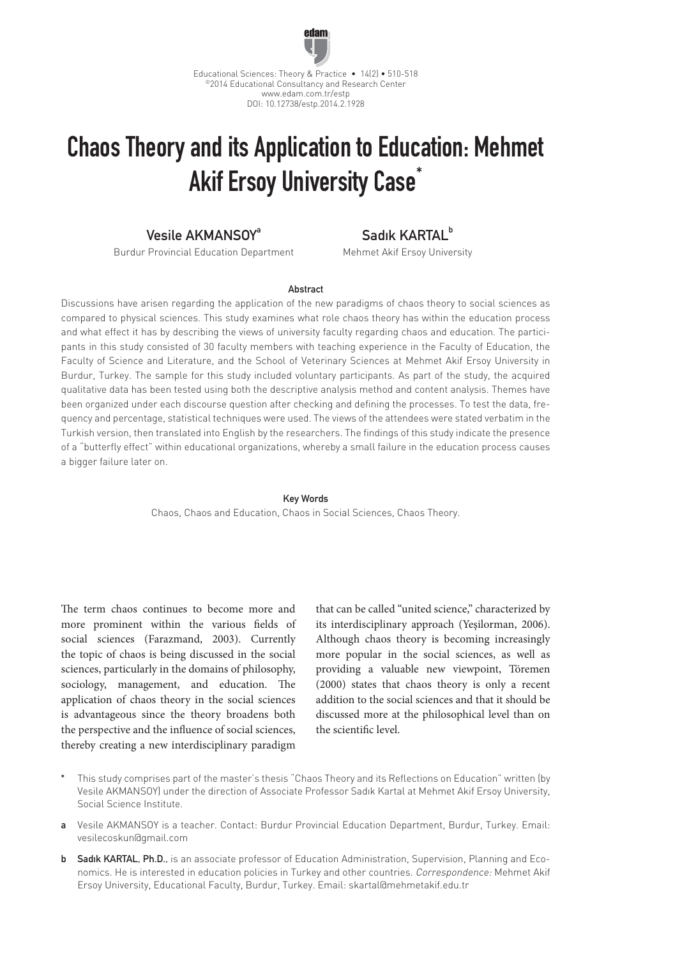

# Chaos Theory and its Application to Education: Mehmet Akif Ersoy University Case<sup>\*</sup>

# Vesile AKMANSOYa

Burdur Provincial Education Department

# Sadık KARTAL<sup>b</sup>

Mehmet Akif Ersoy University

#### Abstract

Discussions have arisen regarding the application of the new paradigms of chaos theory to social sciences as compared to physical sciences. This study examines what role chaos theory has within the education process and what effect it has by describing the views of university faculty regarding chaos and education. The participants in this study consisted of 30 faculty members with teaching experience in the Faculty of Education, the Faculty of Science and Literature, and the School of Veterinary Sciences at Mehmet Akif Ersoy University in Burdur, Turkey. The sample for this study included voluntary participants. As part of the study, the acquired qualitative data has been tested using both the descriptive analysis method and content analysis. Themes have been organized under each discourse question after checking and defining the processes. To test the data, frequency and percentage, statistical techniques were used. The views of the attendees were stated verbatim in the Turkish version, then translated into English by the researchers. The findings of this study indicate the presence of a "butterfly effect" within educational organizations, whereby a small failure in the education process causes a bigger failure later on.

### Key Words

Chaos, Chaos and Education, Chaos in Social Sciences, Chaos Theory.

The term chaos continues to become more and more prominent within the various fields of social sciences (Farazmand, 2003). Currently the topic of chaos is being discussed in the social sciences, particularly in the domains of philosophy, sociology, management, and education. The application of chaos theory in the social sciences is advantageous since the theory broadens both the perspective and the influence of social sciences, thereby creating a new interdisciplinary paradigm

that can be called "united science," characterized by its interdisciplinary approach (Yeşilorman, 2006). Although chaos theory is becoming increasingly more popular in the social sciences, as well as providing a valuable new viewpoint, Töremen (2000) states that chaos theory is only a recent addition to the social sciences and that it should be discussed more at the philosophical level than on the scientific level.

- This study comprises part of the master's thesis "Chaos Theory and its Reflections on Education" written (by Vesile AKMANSOY) under the direction of Associate Professor Sadık Kartal at Mehmet Akif Ersoy University, Social Science Institute.
- a Vesile AKMANSOY is a teacher. Contact: Burdur Provincial Education Department, Burdur, Turkey. Email: vesilecoskun@gmail.com
- b Sadık KARTAL, Ph.D., is an associate professor of Education Administration, Supervision, Planning and Economics. He is interested in education policies in Turkey and other countries. Correspondence: Mehmet Akif Ersoy University, Educational Faculty, Burdur, Turkey. Email: skartal@mehmetakif.edu.tr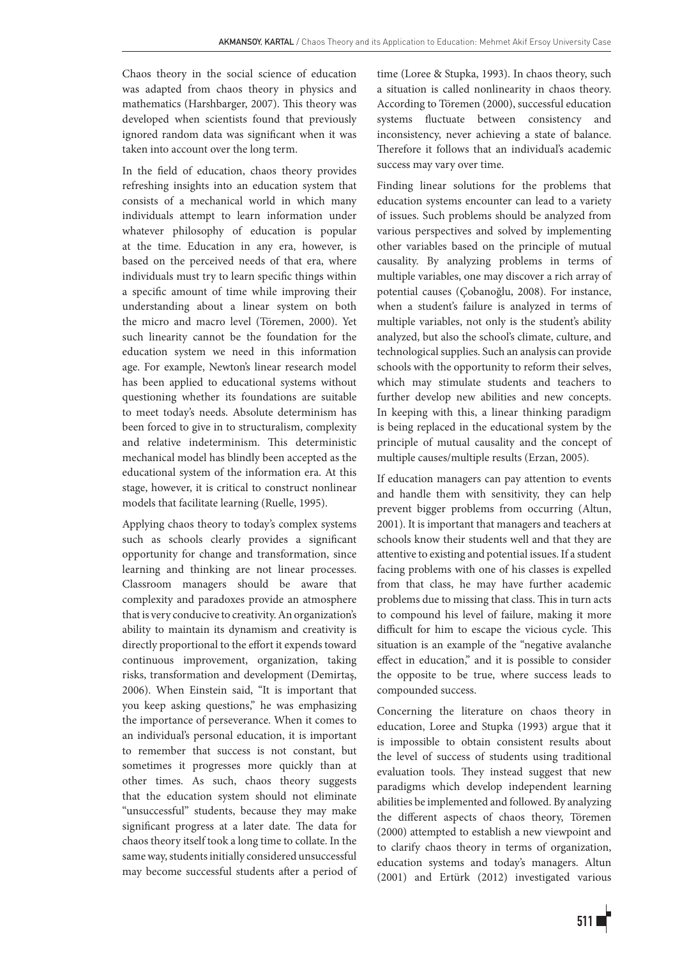Chaos theory in the social science of education was adapted from chaos theory in physics and mathematics (Harshbarger, 2007). This theory was developed when scientists found that previously ignored random data was significant when it was taken into account over the long term.

In the field of education, chaos theory provides refreshing insights into an education system that consists of a mechanical world in which many individuals attempt to learn information under whatever philosophy of education is popular at the time. Education in any era, however, is based on the perceived needs of that era, where individuals must try to learn specific things within a specific amount of time while improving their understanding about a linear system on both the micro and macro level (Töremen, 2000). Yet such linearity cannot be the foundation for the education system we need in this information age. For example, Newton's linear research model has been applied to educational systems without questioning whether its foundations are suitable to meet today's needs. Absolute determinism has been forced to give in to structuralism, complexity and relative indeterminism. This deterministic mechanical model has blindly been accepted as the educational system of the information era. At this stage, however, it is critical to construct nonlinear models that facilitate learning (Ruelle, 1995).

Applying chaos theory to today's complex systems such as schools clearly provides a significant opportunity for change and transformation, since learning and thinking are not linear processes. Classroom managers should be aware that complexity and paradoxes provide an atmosphere that is very conducive to creativity. An organization's ability to maintain its dynamism and creativity is directly proportional to the effort it expends toward continuous improvement, organization, taking risks, transformation and development (Demirtaş, 2006). When Einstein said, "It is important that you keep asking questions," he was emphasizing the importance of perseverance. When it comes to an individual's personal education, it is important to remember that success is not constant, but sometimes it progresses more quickly than at other times. As such, chaos theory suggests that the education system should not eliminate "unsuccessful" students, because they may make significant progress at a later date. The data for chaos theory itself took a long time to collate. In the same way, students initially considered unsuccessful may become successful students after a period of time (Loree & Stupka, 1993). In chaos theory, such a situation is called nonlinearity in chaos theory. According to Töremen (2000), successful education systems fluctuate between consistency and inconsistency, never achieving a state of balance. Therefore it follows that an individual's academic success may vary over time.

Finding linear solutions for the problems that education systems encounter can lead to a variety of issues. Such problems should be analyzed from various perspectives and solved by implementing other variables based on the principle of mutual causality. By analyzing problems in terms of multiple variables, one may discover a rich array of potential causes (Çobanoğlu, 2008). For instance, when a student's failure is analyzed in terms of multiple variables, not only is the student's ability analyzed, but also the school's climate, culture, and technological supplies. Such an analysis can provide schools with the opportunity to reform their selves, which may stimulate students and teachers to further develop new abilities and new concepts. In keeping with this, a linear thinking paradigm is being replaced in the educational system by the principle of mutual causality and the concept of multiple causes/multiple results (Erzan, 2005).

If education managers can pay attention to events and handle them with sensitivity, they can help prevent bigger problems from occurring (Altun, 2001). It is important that managers and teachers at schools know their students well and that they are attentive to existing and potential issues. If a student facing problems with one of his classes is expelled from that class, he may have further academic problems due to missing that class. This in turn acts to compound his level of failure, making it more difficult for him to escape the vicious cycle. This situation is an example of the "negative avalanche effect in education," and it is possible to consider the opposite to be true, where success leads to compounded success.

Concerning the literature on chaos theory in education, Loree and Stupka (1993) argue that it is impossible to obtain consistent results about the level of success of students using traditional evaluation tools. They instead suggest that new paradigms which develop independent learning abilities be implemented and followed. By analyzing the different aspects of chaos theory, Töremen (2000) attempted to establish a new viewpoint and to clarify chaos theory in terms of organization, education systems and today's managers. Altun (2001) and Ertürk (2012) investigated various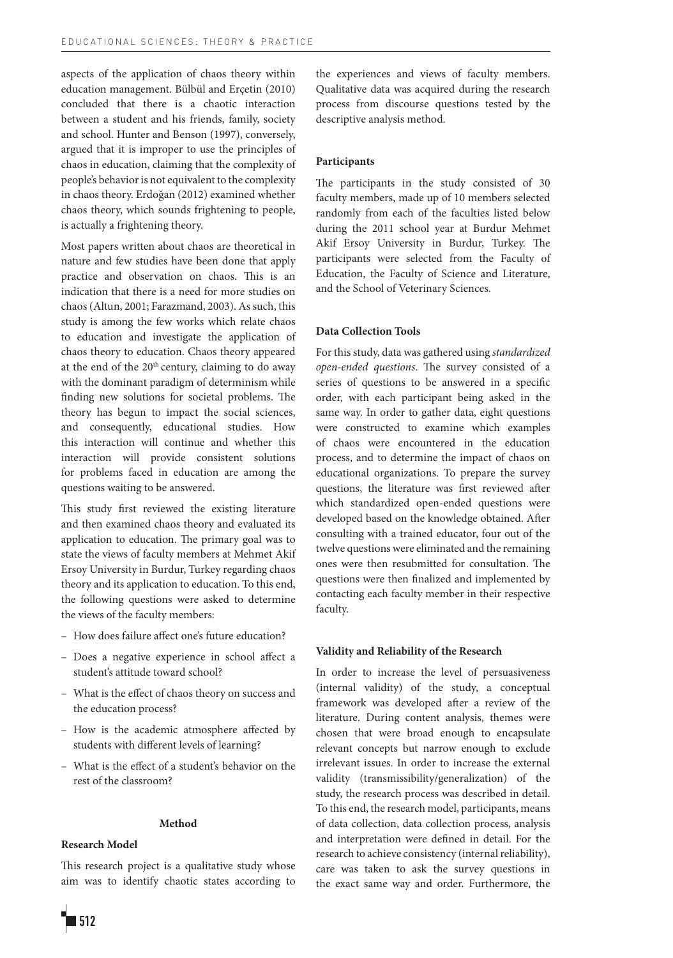aspects of the application of chaos theory within education management. Bülbül and Erçetin (2010) concluded that there is a chaotic interaction between a student and his friends, family, society and school. Hunter and Benson (1997), conversely, argued that it is improper to use the principles of chaos in education, claiming that the complexity of people's behavior is not equivalent to the complexity in chaos theory. Erdoğan (2012) examined whether chaos theory, which sounds frightening to people, is actually a frightening theory.

Most papers written about chaos are theoretical in nature and few studies have been done that apply practice and observation on chaos. This is an indication that there is a need for more studies on chaos (Altun, 2001; Farazmand, 2003). As such, this study is among the few works which relate chaos to education and investigate the application of chaos theory to education. Chaos theory appeared at the end of the  $20<sup>th</sup>$  century, claiming to do away with the dominant paradigm of determinism while finding new solutions for societal problems. The theory has begun to impact the social sciences, and consequently, educational studies. How this interaction will continue and whether this interaction will provide consistent solutions for problems faced in education are among the questions waiting to be answered.

This study first reviewed the existing literature and then examined chaos theory and evaluated its application to education. The primary goal was to state the views of faculty members at Mehmet Akif Ersoy University in Burdur, Turkey regarding chaos theory and its application to education. To this end, the following questions were asked to determine the views of the faculty members:

- How does failure affect one's future education?
- Does a negative experience in school affect a student's attitude toward school?
- What is the effect of chaos theory on success and the education process?
- How is the academic atmosphere affected by students with different levels of learning?
- What is the effect of a student's behavior on the rest of the classroom?

#### **Method**

# **Research Model**

This research project is a qualitative study whose aim was to identify chaotic states according to the experiences and views of faculty members. Qualitative data was acquired during the research process from discourse questions tested by the descriptive analysis method.

## **Participants**

The participants in the study consisted of 30 faculty members, made up of 10 members selected randomly from each of the faculties listed below during the 2011 school year at Burdur Mehmet Akif Ersoy University in Burdur, Turkey. The participants were selected from the Faculty of Education, the Faculty of Science and Literature, and the School of Veterinary Sciences.

#### **Data Collection Tools**

For this study, data was gathered using *standardized open-ended questions*. The survey consisted of a series of questions to be answered in a specific order, with each participant being asked in the same way. In order to gather data, eight questions were constructed to examine which examples of chaos were encountered in the education process, and to determine the impact of chaos on educational organizations. To prepare the survey questions, the literature was first reviewed after which standardized open-ended questions were developed based on the knowledge obtained. After consulting with a trained educator, four out of the twelve questions were eliminated and the remaining ones were then resubmitted for consultation. The questions were then finalized and implemented by contacting each faculty member in their respective faculty.

#### **Validity and Reliability of the Research**

In order to increase the level of persuasiveness (internal validity) of the study, a conceptual framework was developed after a review of the literature. During content analysis, themes were chosen that were broad enough to encapsulate relevant concepts but narrow enough to exclude irrelevant issues. In order to increase the external validity (transmissibility/generalization) of the study, the research process was described in detail. To this end, the research model, participants, means of data collection, data collection process, analysis and interpretation were defined in detail. For the research to achieve consistency (internal reliability), care was taken to ask the survey questions in the exact same way and order. Furthermore, the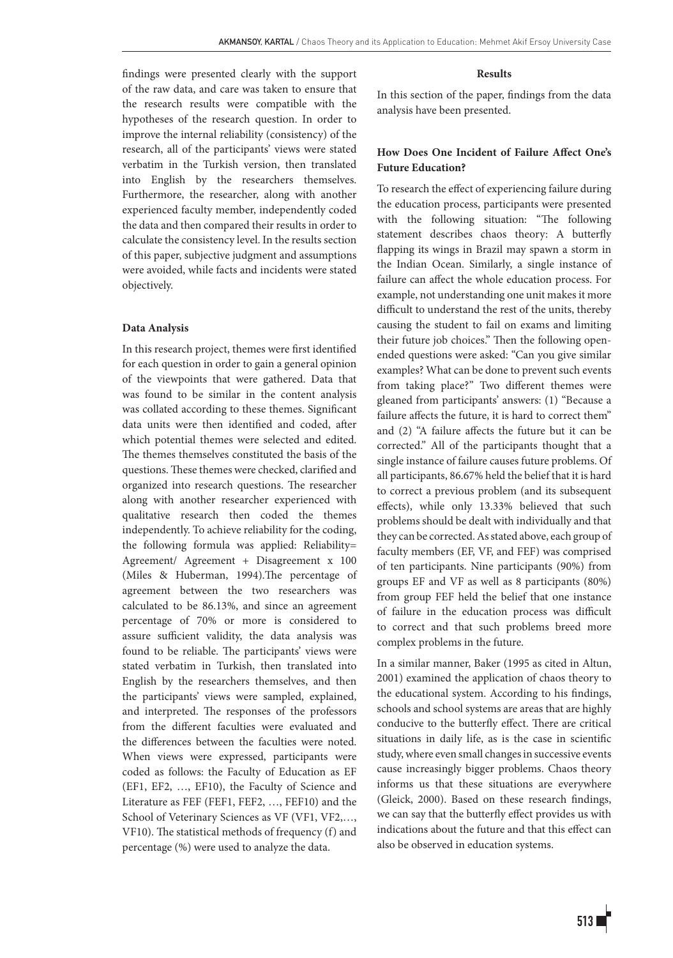findings were presented clearly with the support of the raw data, and care was taken to ensure that the research results were compatible with the hypotheses of the research question. In order to improve the internal reliability (consistency) of the research, all of the participants' views were stated verbatim in the Turkish version, then translated into English by the researchers themselves. Furthermore, the researcher, along with another experienced faculty member, independently coded the data and then compared their results in order to calculate the consistency level. In the results section of this paper, subjective judgment and assumptions were avoided, while facts and incidents were stated objectively.

#### **Data Analysis**

In this research project, themes were first identified for each question in order to gain a general opinion of the viewpoints that were gathered. Data that was found to be similar in the content analysis was collated according to these themes. Significant data units were then identified and coded, after which potential themes were selected and edited. The themes themselves constituted the basis of the questions. These themes were checked, clarified and organized into research questions. The researcher along with another researcher experienced with qualitative research then coded the themes independently. To achieve reliability for the coding, the following formula was applied: Reliability= Agreement/ Agreement + Disagreement x 100 (Miles & Huberman, 1994).The percentage of agreement between the two researchers was calculated to be 86.13%, and since an agreement percentage of 70% or more is considered to assure sufficient validity, the data analysis was found to be reliable. The participants' views were stated verbatim in Turkish, then translated into English by the researchers themselves, and then the participants' views were sampled, explained, and interpreted. The responses of the professors from the different faculties were evaluated and the differences between the faculties were noted. When views were expressed, participants were coded as follows: the Faculty of Education as EF (EF1, EF2, …, EF10), the Faculty of Science and Literature as FEF (FEF1, FEF2, …, FEF10) and the School of Veterinary Sciences as VF (VF1, VF2,…, VF10). The statistical methods of frequency (f) and percentage (%) were used to analyze the data.

#### **Results**

In this section of the paper, findings from the data analysis have been presented.

# **How Does One Incident of Failure Affect One's Future Education?**

To research the effect of experiencing failure during the education process, participants were presented with the following situation: "The following statement describes chaos theory: A butterfly flapping its wings in Brazil may spawn a storm in the Indian Ocean. Similarly, a single instance of failure can affect the whole education process. For example, not understanding one unit makes it more difficult to understand the rest of the units, thereby causing the student to fail on exams and limiting their future job choices." Then the following openended questions were asked: "Can you give similar examples? What can be done to prevent such events from taking place?" Two different themes were gleaned from participants' answers: (1) "Because a failure affects the future, it is hard to correct them" and (2) "A failure affects the future but it can be corrected." All of the participants thought that a single instance of failure causes future problems. Of all participants, 86.67% held the belief that it is hard to correct a previous problem (and its subsequent effects), while only 13.33% believed that such problems should be dealt with individually and that they can be corrected. As stated above, each group of faculty members (EF, VF, and FEF) was comprised of ten participants. Nine participants (90%) from groups EF and VF as well as 8 participants (80%) from group FEF held the belief that one instance of failure in the education process was difficult to correct and that such problems breed more complex problems in the future.

In a similar manner, Baker (1995 as cited in Altun, 2001) examined the application of chaos theory to the educational system. According to his findings, schools and school systems are areas that are highly conducive to the butterfly effect. There are critical situations in daily life, as is the case in scientific study, where even small changes in successive events cause increasingly bigger problems. Chaos theory informs us that these situations are everywhere (Gleick, 2000). Based on these research findings, we can say that the butterfly effect provides us with indications about the future and that this effect can also be observed in education systems.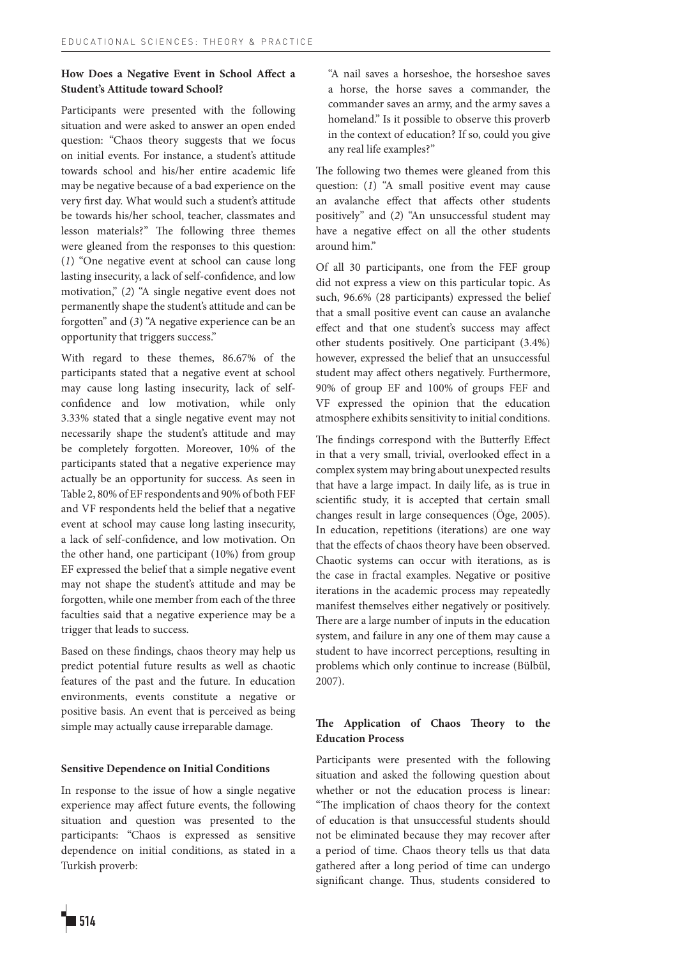# **How Does a Negative Event in School Affect a Student's Attitude toward School?**

Participants were presented with the following situation and were asked to answer an open ended question: "Chaos theory suggests that we focus on initial events. For instance, a student's attitude towards school and his/her entire academic life may be negative because of a bad experience on the very first day. What would such a student's attitude be towards his/her school, teacher, classmates and lesson materials?" The following three themes were gleaned from the responses to this question: (*1*) "One negative event at school can cause long lasting insecurity, a lack of self-confidence, and low motivation," (*2*) "A single negative event does not permanently shape the student's attitude and can be forgotten" and (*3*) "A negative experience can be an opportunity that triggers success."

With regard to these themes, 86.67% of the participants stated that a negative event at school may cause long lasting insecurity, lack of selfconfidence and low motivation, while only 3.33% stated that a single negative event may not necessarily shape the student's attitude and may be completely forgotten. Moreover, 10% of the participants stated that a negative experience may actually be an opportunity for success. As seen in Table 2, 80% of EF respondents and 90% of both FEF and VF respondents held the belief that a negative event at school may cause long lasting insecurity, a lack of self-confidence, and low motivation. On the other hand, one participant (10%) from group EF expressed the belief that a simple negative event may not shape the student's attitude and may be forgotten, while one member from each of the three faculties said that a negative experience may be a trigger that leads to success.

Based on these findings, chaos theory may help us predict potential future results as well as chaotic features of the past and the future. In education environments, events constitute a negative or positive basis. An event that is perceived as being simple may actually cause irreparable damage.

## **Sensitive Dependence on Initial Conditions**

In response to the issue of how a single negative experience may affect future events, the following situation and question was presented to the participants: "Chaos is expressed as sensitive dependence on initial conditions, as stated in a Turkish proverb:

"A nail saves a horseshoe, the horseshoe saves a horse, the horse saves a commander, the commander saves an army, and the army saves a homeland." Is it possible to observe this proverb in the context of education? If so, could you give any real life examples?"

The following two themes were gleaned from this question: (*1*) "A small positive event may cause an avalanche effect that affects other students positively" and (*2*) "An unsuccessful student may have a negative effect on all the other students around him."

Of all 30 participants, one from the FEF group did not express a view on this particular topic. As such, 96.6% (28 participants) expressed the belief that a small positive event can cause an avalanche effect and that one student's success may affect other students positively. One participant (3.4%) however, expressed the belief that an unsuccessful student may affect others negatively. Furthermore, 90% of group EF and 100% of groups FEF and VF expressed the opinion that the education atmosphere exhibits sensitivity to initial conditions.

The findings correspond with the Butterfly Effect in that a very small, trivial, overlooked effect in a complex system may bring about unexpected results that have a large impact. In daily life, as is true in scientific study, it is accepted that certain small changes result in large consequences (Öge, 2005). In education, repetitions (iterations) are one way that the effects of chaos theory have been observed. Chaotic systems can occur with iterations, as is the case in fractal examples. Negative or positive iterations in the academic process may repeatedly manifest themselves either negatively or positively. There are a large number of inputs in the education system, and failure in any one of them may cause a student to have incorrect perceptions, resulting in problems which only continue to increase (Bülbül, 2007).

# **The Application of Chaos Theory to the Education Process**

Participants were presented with the following situation and asked the following question about whether or not the education process is linear: "The implication of chaos theory for the context of education is that unsuccessful students should not be eliminated because they may recover after a period of time. Chaos theory tells us that data gathered after a long period of time can undergo significant change. Thus, students considered to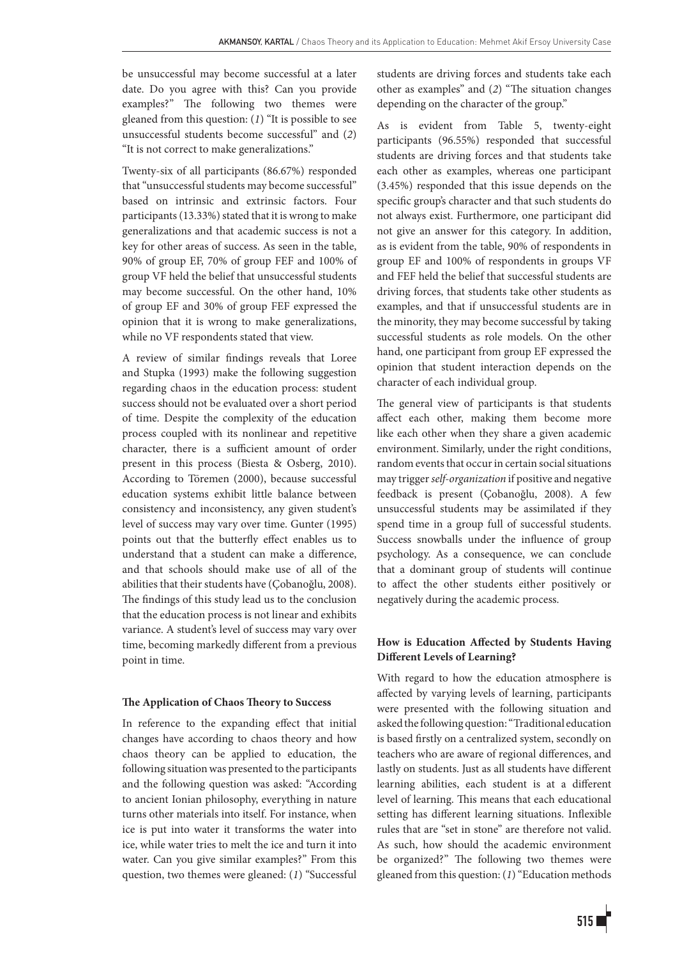be unsuccessful may become successful at a later date. Do you agree with this? Can you provide examples?" The following two themes were gleaned from this question: (*1*) "It is possible to see unsuccessful students become successful" and (*2*) "It is not correct to make generalizations."

Twenty-six of all participants (86.67%) responded that "unsuccessful students may become successful" based on intrinsic and extrinsic factors. Four participants (13.33%) stated that it is wrong to make generalizations and that academic success is not a key for other areas of success. As seen in the table, 90% of group EF, 70% of group FEF and 100% of group VF held the belief that unsuccessful students may become successful. On the other hand, 10% of group EF and 30% of group FEF expressed the opinion that it is wrong to make generalizations, while no VF respondents stated that view.

A review of similar findings reveals that Loree and Stupka (1993) make the following suggestion regarding chaos in the education process: student success should not be evaluated over a short period of time. Despite the complexity of the education process coupled with its nonlinear and repetitive character, there is a sufficient amount of order present in this process (Biesta & Osberg, 2010). According to Töremen (2000), because successful education systems exhibit little balance between consistency and inconsistency, any given student's level of success may vary over time. Gunter (1995) points out that the butterfly effect enables us to understand that a student can make a difference, and that schools should make use of all of the abilities that their students have (Çobanoğlu, 2008). The findings of this study lead us to the conclusion that the education process is not linear and exhibits variance. A student's level of success may vary over time, becoming markedly different from a previous point in time.

## **The Application of Chaos Theory to Success**

In reference to the expanding effect that initial changes have according to chaos theory and how chaos theory can be applied to education, the following situation was presented to the participants and the following question was asked: "According to ancient Ionian philosophy, everything in nature turns other materials into itself. For instance, when ice is put into water it transforms the water into ice, while water tries to melt the ice and turn it into water. Can you give similar examples?" From this question, two themes were gleaned: (*1*) "Successful students are driving forces and students take each other as examples" and (*2*) "The situation changes depending on the character of the group."

As is evident from Table 5, twenty-eight participants (96.55%) responded that successful students are driving forces and that students take each other as examples, whereas one participant (3.45%) responded that this issue depends on the specific group's character and that such students do not always exist. Furthermore, one participant did not give an answer for this category. In addition, as is evident from the table, 90% of respondents in group EF and 100% of respondents in groups VF and FEF held the belief that successful students are driving forces, that students take other students as examples, and that if unsuccessful students are in the minority, they may become successful by taking successful students as role models. On the other hand, one participant from group EF expressed the opinion that student interaction depends on the character of each individual group.

The general view of participants is that students affect each other, making them become more like each other when they share a given academic environment. Similarly, under the right conditions, random events that occur in certain social situations may trigger *self-organization* if positive and negative feedback is present (Çobanoğlu, 2008). A few unsuccessful students may be assimilated if they spend time in a group full of successful students. Success snowballs under the influence of group psychology. As a consequence, we can conclude that a dominant group of students will continue to affect the other students either positively or negatively during the academic process.

# **How is Education Affected by Students Having Different Levels of Learning?**

With regard to how the education atmosphere is affected by varying levels of learning, participants were presented with the following situation and asked the following question: "Traditional education is based firstly on a centralized system, secondly on teachers who are aware of regional differences, and lastly on students. Just as all students have different learning abilities, each student is at a different level of learning. This means that each educational setting has different learning situations. Inflexible rules that are "set in stone" are therefore not valid. As such, how should the academic environment be organized?" The following two themes were gleaned from this question: (*1*) "Education methods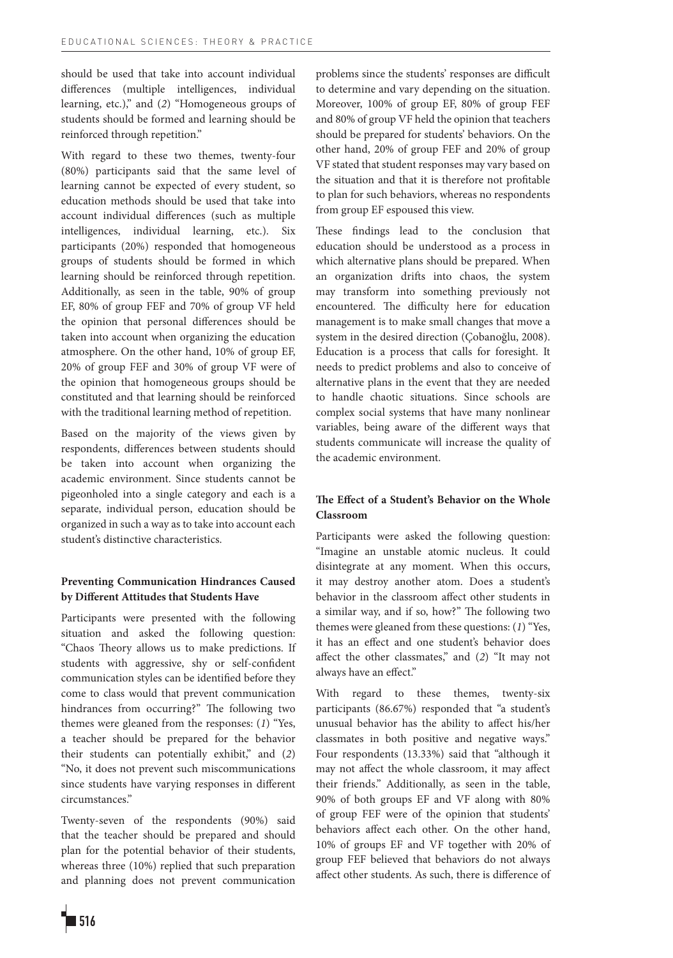should be used that take into account individual differences (multiple intelligences, individual learning, etc.)," and (*2*) "Homogeneous groups of students should be formed and learning should be reinforced through repetition."

With regard to these two themes, twenty-four (80%) participants said that the same level of learning cannot be expected of every student, so education methods should be used that take into account individual differences (such as multiple intelligences, individual learning, etc.). Six participants (20%) responded that homogeneous groups of students should be formed in which learning should be reinforced through repetition. Additionally, as seen in the table, 90% of group EF, 80% of group FEF and 70% of group VF held the opinion that personal differences should be taken into account when organizing the education atmosphere. On the other hand, 10% of group EF, 20% of group FEF and 30% of group VF were of the opinion that homogeneous groups should be constituted and that learning should be reinforced with the traditional learning method of repetition.

Based on the majority of the views given by respondents, differences between students should be taken into account when organizing the academic environment. Since students cannot be pigeonholed into a single category and each is a separate, individual person, education should be organized in such a way as to take into account each student's distinctive characteristics.

# **Preventing Communication Hindrances Caused by Different Attitudes that Students Have**

Participants were presented with the following situation and asked the following question: "Chaos Theory allows us to make predictions. If students with aggressive, shy or self-confident communication styles can be identified before they come to class would that prevent communication hindrances from occurring?" The following two themes were gleaned from the responses: (*1*) "Yes, a teacher should be prepared for the behavior their students can potentially exhibit," and (*2*) "No, it does not prevent such miscommunications since students have varying responses in different circumstances."

Twenty-seven of the respondents (90%) said that the teacher should be prepared and should plan for the potential behavior of their students, whereas three (10%) replied that such preparation and planning does not prevent communication problems since the students' responses are difficult to determine and vary depending on the situation. Moreover, 100% of group EF, 80% of group FEF and 80% of group VF held the opinion that teachers should be prepared for students' behaviors. On the other hand, 20% of group FEF and 20% of group VF stated that student responses may vary based on the situation and that it is therefore not profitable to plan for such behaviors, whereas no respondents from group EF espoused this view.

These findings lead to the conclusion that education should be understood as a process in which alternative plans should be prepared. When an organization drifts into chaos, the system may transform into something previously not encountered. The difficulty here for education management is to make small changes that move a system in the desired direction (Çobanoğlu, 2008). Education is a process that calls for foresight. It needs to predict problems and also to conceive of alternative plans in the event that they are needed to handle chaotic situations. Since schools are complex social systems that have many nonlinear variables, being aware of the different ways that students communicate will increase the quality of the academic environment.

# **The Effect of a Student's Behavior on the Whole Classroom**

Participants were asked the following question: "Imagine an unstable atomic nucleus. It could disintegrate at any moment. When this occurs, it may destroy another atom. Does a student's behavior in the classroom affect other students in a similar way, and if so, how?" The following two themes were gleaned from these questions: (*1*) "Yes, it has an effect and one student's behavior does affect the other classmates," and (*2*) "It may not always have an effect."

With regard to these themes, twenty-six participants (86.67%) responded that "a student's unusual behavior has the ability to affect his/her classmates in both positive and negative ways." Four respondents (13.33%) said that "although it may not affect the whole classroom, it may affect their friends." Additionally, as seen in the table, 90% of both groups EF and VF along with 80% of group FEF were of the opinion that students' behaviors affect each other. On the other hand, 10% of groups EF and VF together with 20% of group FEF believed that behaviors do not always affect other students. As such, there is difference of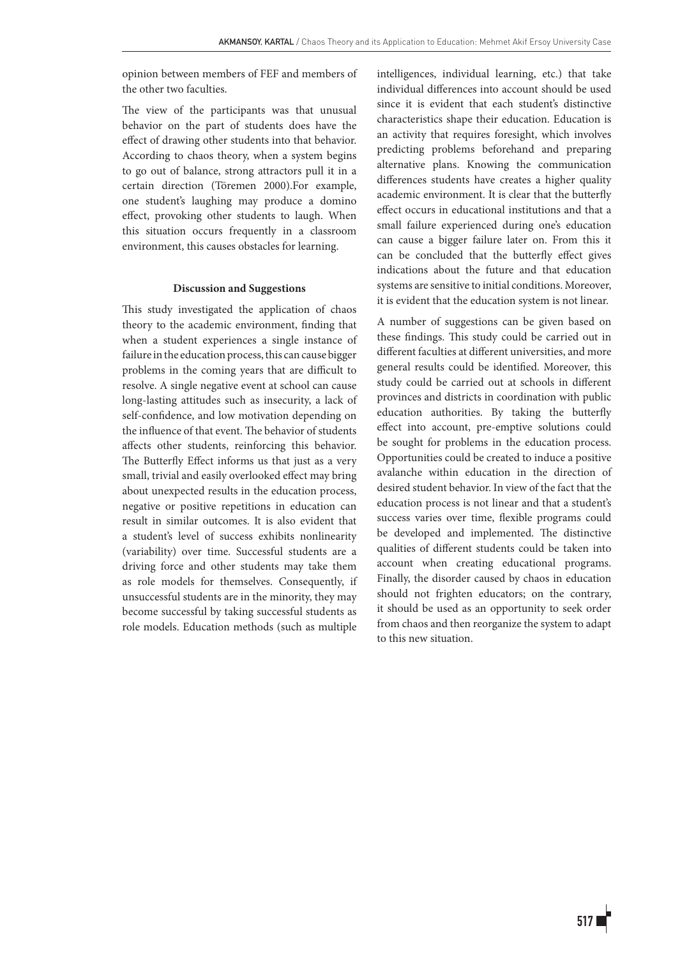opinion between members of FEF and members of the other two faculties.

The view of the participants was that unusual behavior on the part of students does have the effect of drawing other students into that behavior. According to chaos theory, when a system begins to go out of balance, strong attractors pull it in a certain direction (Töremen 2000).For example, one student's laughing may produce a domino effect, provoking other students to laugh. When this situation occurs frequently in a classroom environment, this causes obstacles for learning.

# **Discussion and Suggestions**

This study investigated the application of chaos theory to the academic environment, finding that when a student experiences a single instance of failure in the education process, this can cause bigger problems in the coming years that are difficult to resolve. A single negative event at school can cause long-lasting attitudes such as insecurity, a lack of self-confidence, and low motivation depending on the influence of that event. The behavior of students affects other students, reinforcing this behavior. The Butterfly Effect informs us that just as a very small, trivial and easily overlooked effect may bring about unexpected results in the education process, negative or positive repetitions in education can result in similar outcomes. It is also evident that a student's level of success exhibits nonlinearity (variability) over time. Successful students are a driving force and other students may take them as role models for themselves. Consequently, if unsuccessful students are in the minority, they may become successful by taking successful students as role models. Education methods (such as multiple intelligences, individual learning, etc.) that take individual differences into account should be used since it is evident that each student's distinctive characteristics shape their education. Education is an activity that requires foresight, which involves predicting problems beforehand and preparing alternative plans. Knowing the communication differences students have creates a higher quality academic environment. It is clear that the butterfly effect occurs in educational institutions and that a small failure experienced during one's education can cause a bigger failure later on. From this it can be concluded that the butterfly effect gives indications about the future and that education systems are sensitive to initial conditions. Moreover, it is evident that the education system is not linear.

A number of suggestions can be given based on these findings. This study could be carried out in different faculties at different universities, and more general results could be identified. Moreover, this study could be carried out at schools in different provinces and districts in coordination with public education authorities. By taking the butterfly effect into account, pre-emptive solutions could be sought for problems in the education process. Opportunities could be created to induce a positive avalanche within education in the direction of desired student behavior. In view of the fact that the education process is not linear and that a student's success varies over time, flexible programs could be developed and implemented. The distinctive qualities of different students could be taken into account when creating educational programs. Finally, the disorder caused by chaos in education should not frighten educators; on the contrary, it should be used as an opportunity to seek order from chaos and then reorganize the system to adapt to this new situation.